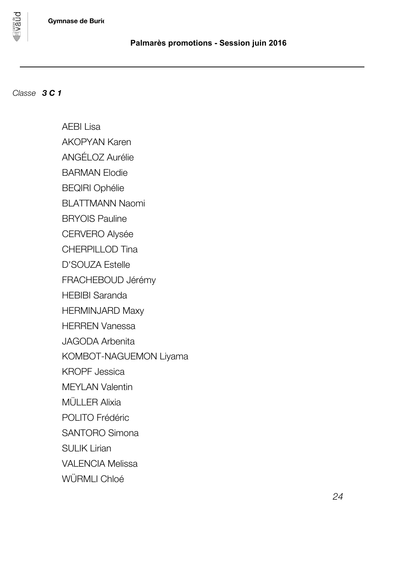



pnan

AEBI Lisa AKOPYAN Karen ANGÉLOZ Aurélie BARMAN Elodie BEQIRI Ophélie BLATTMANN Naomi BRYOIS Pauline CERVERO Alysée CHERPILLOD Tina D'SOUZA Estelle FRACHEBOUD Jérémy HEBIBI Saranda HERMINJARD Maxy HERREN Vanessa JAGODA Arbenita KOMBOT-NAGUEMON Liyama KROPF Jessica MEYLAN Valentin MÜLLER Alixia POLITO Frédéric SANTORO Simona SULIK Lirian VALENCIA Melissa WÜRMLI Chloé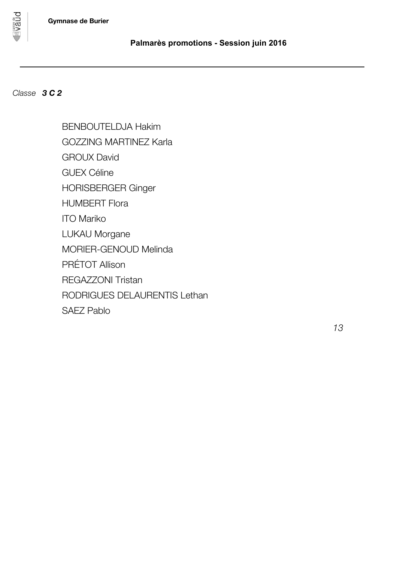

# *Classe 3 C 2*

**DUBA** 

BENBOUTELDJA Hakim GOZZING MARTINEZ Karla GROUX David GUEX Céline HORISBERGER Ginger HUMBERT Flora ITO Mariko LUKAU Morgane MORIER-GENOUD Melinda PRÉTOT Allison REGAZZONI Tristan RODRIGUES DELAURENTIS Lethan SAEZ Pablo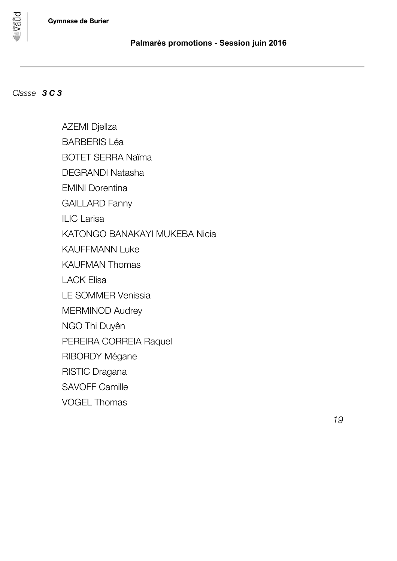

*Classe 3 C 3*

pnand

AZEMI Djellza BARBERIS Léa BOTET SERRA Naïma DEGRANDI Natasha EMINI Dorentina GAILLARD Fanny ILIC Larisa KATONGO BANAKAYI MUKEBA Nicia KAUFFMANN Luke KAUFMAN Thomas LACK Elisa LE SOMMER Venissia MERMINOD Audrey NGO Thi Duyên PEREIRA CORREIA Raquel RIBORDY Mégane RISTIC Dragana SAVOFF Camille VOGEL Thomas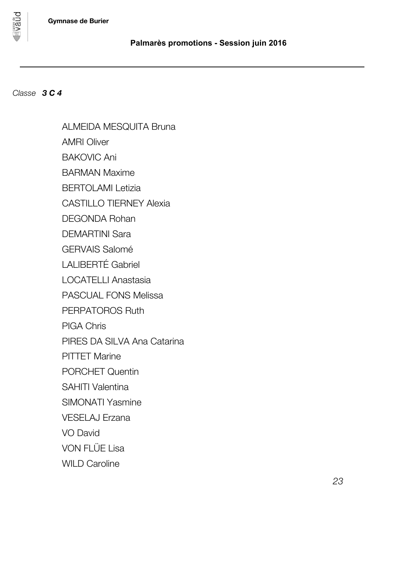



**DUBA** 

ALMEIDA MESQUITA Bruna AMRI Oliver BAKOVIC Ani BARMAN Maxime BERTOLAMI Letizia CASTILLO TIERNEY Alexia DEGONDA Rohan DEMARTINI Sara GERVAIS Salomé LALIBERTÉ Gabriel LOCATELLI Anastasia PASCUAL FONS Melissa PERPATOROS Ruth PIGA Chris PIRES DA SILVA Ana Catarina **PITTET Marine** PORCHET Quentin SAHITI Valentina SIMONATI Yasmine VESELAJ Erzana VO David VON FLÜE Lisa WILD Caroline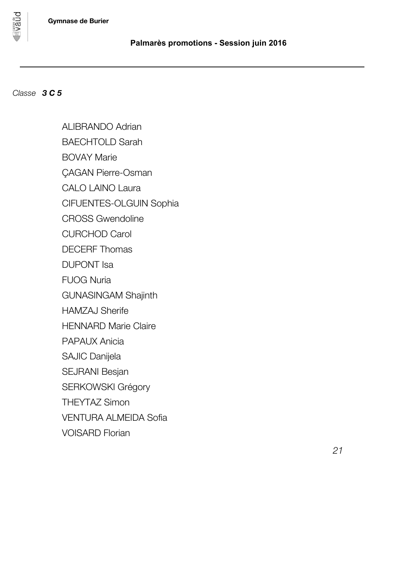

## *Classe 3 C 5*

vaud

ALIBRANDO Adrian BAECHTOLD Sarah BOVAY Marie ÇAGAN Pierre-Osman CALO LAINO Laura CIFUENTES-OLGUIN Sophia CROSS Gwendoline CURCHOD Carol DECERF Thomas DUPONT Isa FUOG Nuria GUNASINGAM Shajinth HAMZAJ Sherife HENNARD Marie Claire PAPAUX Anicia SAJIC Danijela SEJRANI Besjan SERKOWSKI Grégory THEYTAZ Simon VENTURA ALMEIDA Sofia VOISARD Florian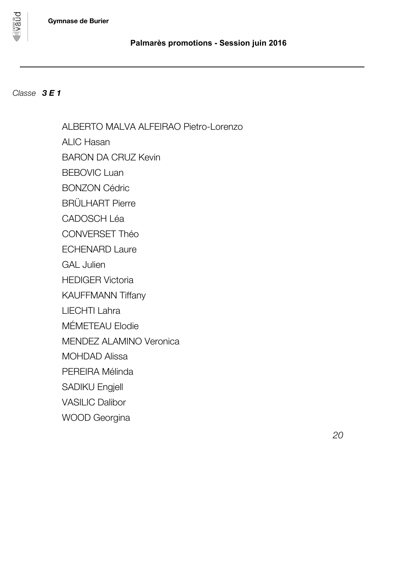

*Classe 3 E 1*

pnand

ALBERTO MALVA ALFEIRAO Pietro-Lorenzo ALIC Hasan BARON DA CRUZ Kevin BEBOVIC Luan BONZON Cédric BRÜLHART Pierre CADOSCH Léa CONVERSET Théo ECHENARD Laure GAL Julien HEDIGER Victoria KAUFFMANN Tiffany LIECHTI Lahra MÉMETEAU Elodie MENDEZ ALAMINO Veronica MOHDAD Alissa PEREIRA Mélinda SADIKU Engjell VASILIC Dalibor WOOD Georgina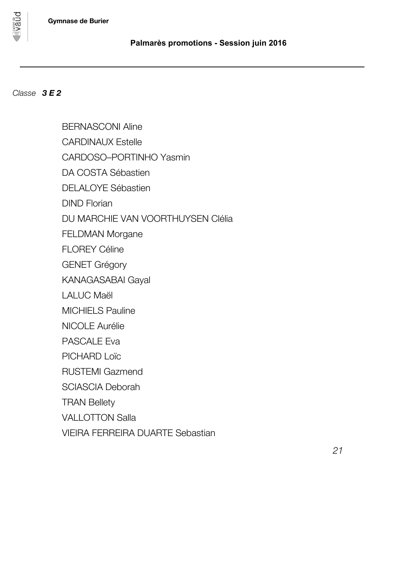BERNASCONI Aline





**Vaud** 

CARDINAUX Estelle CARDOSO–PORTINHO Yasmin DA COSTA Sébastien DELALOYE Sébastien DIND Florian DU MARCHIE VAN VOORTHUYSEN Clélia FELDMAN Morgane FLOREY Céline GENET Grégory KANAGASABAI Gayal LALUC Maël MICHIELS Pauline NICOLE Aurélie PASCALE Eva PICHARD Loïc RUSTEMI Gazmend SCIASCIA Deborah TRAN Bellety VALLOTTON Salla VIEIRA FERREIRA DUARTE Sebastian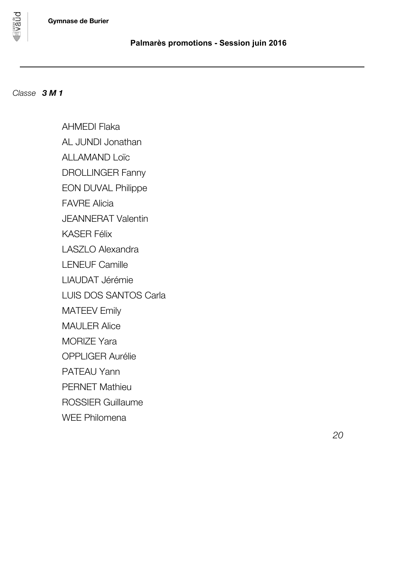

pnand

AHMEDI Flaka AL JUNDI Jonathan ALLAMAND Loïc DROLLINGER Fanny EON DUVAL Philippe FAVRE Alicia JEANNERAT Valentin KASER Félix LASZLO Alexandra LENEUF Camille LIAUDAT Jérémie LUIS DOS SANTOS Carla MATEEV Emily MAULER Alice MORIZE Yara OPPLIGER Aurélie PATEAU Yann PERNET Mathieu ROSSIER Guillaume WEE Philomena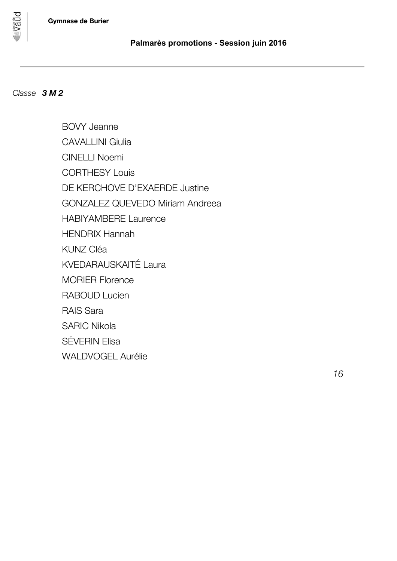

vaud

BOVY Jeanne CAVALLINI Giulia CINELLI Noemi CORTHESY Louis DE KERCHOVE D'EXAERDE Justine GONZALEZ QUEVEDO Miriam Andreea HABIYAMBERE Laurence HENDRIX Hannah KUNZ Cléa KVEDARAUSKAITÉ Laura MORIER Florence RABOUD Lucien RAIS Sara SARIC Nikola SÉVERIN Elisa

WALDVOGEL Aurélie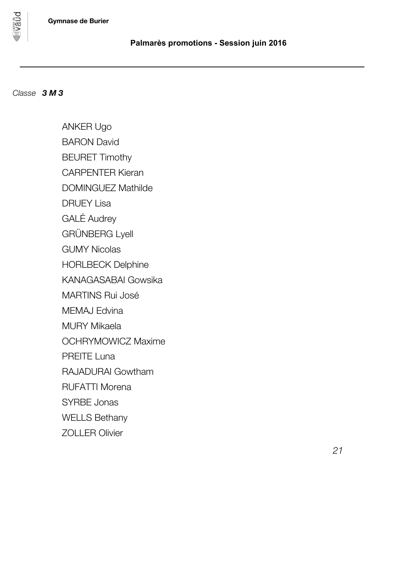

pnan

ANKER Ugo BARON David BEURET Timothy CARPENTER Kieran DOMINGUEZ Mathilde DRUEY Lisa GALÉ Audrey GRÜNBERG Lyell GUMY Nicolas HORLBECK Delphine KANAGASABAI Gowsika MARTINS Rui José MEMAJ Edvina MURY Mikaela OCHRYMOWICZ Maxime PREITE Luna RAJADURAI Gowtham RUFATTI Morena SYRBE Jonas WELLS Bethany ZOLLER Olivier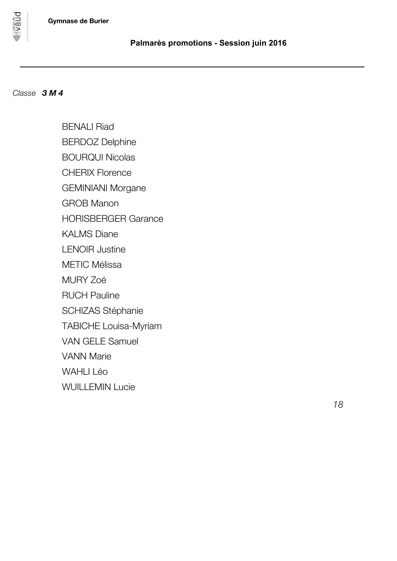



**DDBA** 

BENALI Riad BERDOZ Delphine BOURQUI Nicolas CHERIX Florence GEMINIANI Morgane GROB Manon HORISBERGER Garance KALMS Diane LENOIR Justine METIC Mélissa MURY Zoé RUCH Pauline SCHIZAS Stéphanie TABICHE Louisa-Myriam VAN GELE Samuel VANN Marie WAHLI Léo WUILLEMIN Lucie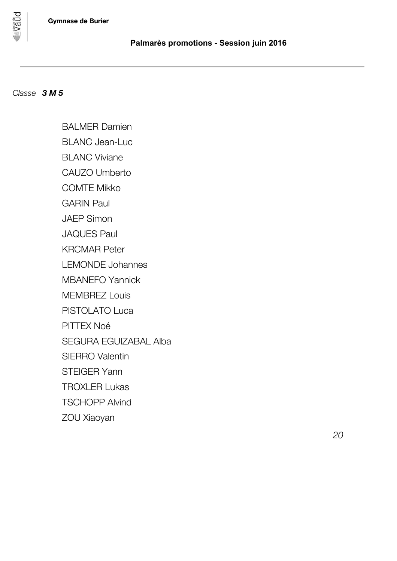

pnand

BALMER Damien

BLANC Jean-Luc

BLANC Viviane

CAUZO Umberto

COMTE Mikko

GARIN Paul

JAEP Simon

JAQUES Paul

KRCMAR Peter

LEMONDE Johannes

MBANEFO Yannick

MEMBREZ Louis

PISTOLATO Luca

PITTEX Noé

SEGURA EGUIZABAL Alba

SIERRO Valentin

STEIGER Yann

TROXLER Lukas

TSCHOPP Alvind

ZOU Xiaoyan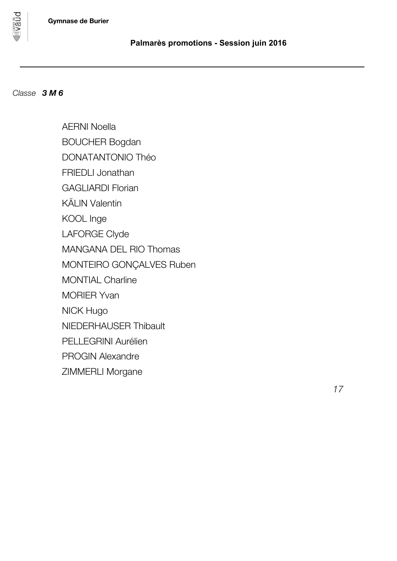



**DUBA** 

AERNI Noella BOUCHER Bogdan DONATANTONIO Théo FRIEDLI Jonathan GAGLIARDI Florian KÄLIN Valentin KOOL Inge LAFORGE Clyde MANGANA DEL RIO Thomas MONTEIRO GONÇALVES Ruben MONTIAL Charline MORIER Yvan NICK Hugo NIEDERHAUSER Thibault PELLEGRINI Aurélien PROGIN Alexandre ZIMMERLI Morgane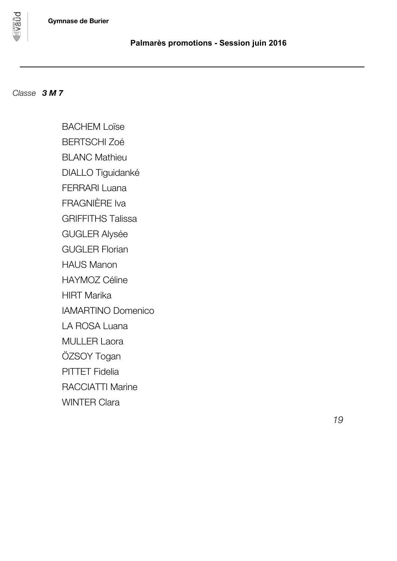

**DDBA** 

BACHEM Loïse BERTSCHI Zoé BLANC Mathieu DIALLO Tiguidanké FERRARI Luana FRAGNIÈRE Iva GRIFFITHS Talissa GUGLER Alysée GUGLER Florian HAUS Manon HAYMOZ Céline HIRT Marika IAMARTINO Domenico LA ROSA Luana MULLER Laora ÖZSOY Togan PITTET Fidelia RACCIATTI Marine WINTER Clara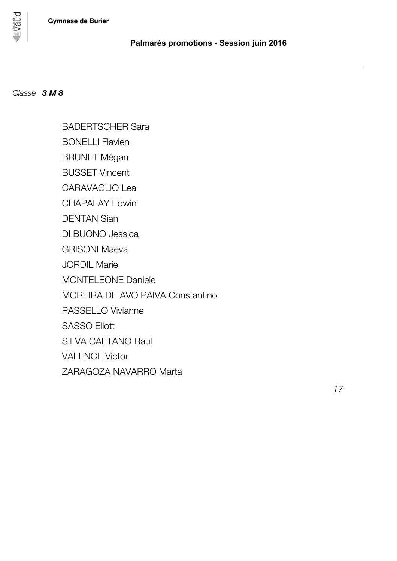



vaud

BADERTSCHER Sara

BONELLI Flavien

BRUNET Mégan

BUSSET Vincent

CARAVAGLIO Lea

CHAPALAY Edwin

DENTAN Sian

DI BUONO Jessica

GRISONI Maeva

JORDIL Marie

MONTELEONE Daniele

MOREIRA DE AVO PAIVA Constantino

PASSELLO Vivianne

SASSO Eliott

SILVA CAETANO Raul

VALENCE Victor

ZARAGOZA NAVARRO Marta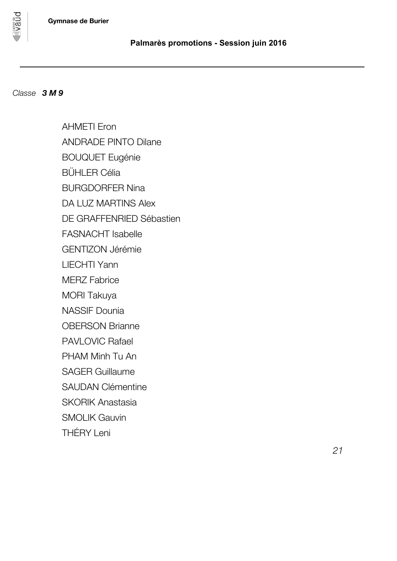



**DUBA** 

AHMETI Eron ANDRADE PINTO Dilane BOUQUET Eugénie BÜHLER Célia BURGDORFER Nina DA LUZ MARTINS Alex DE GRAFFENRIED Sébastien FASNACHT Isabelle GENTIZON Jérémie LIECHTI Yann MERZ Fabrice MORI Takuya NASSIF Dounia OBERSON Brianne PAVLOVIC Rafael PHAM Minh Tu An SAGER Guillaume SAUDAN Clémentine SKORIK Anastasia SMOLIK Gauvin THÉRY Leni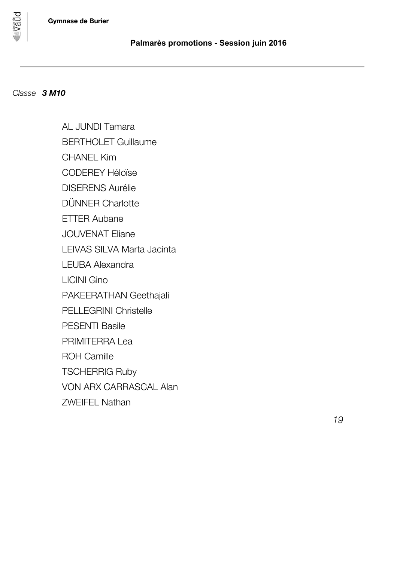

pnan

AL JUNDI Tamara BERTHOLET Guillaume

CHANEL Kim

CODEREY Héloïse

DISERENS Aurélie

DÜNNER Charlotte

ETTER Aubane

JOUVENAT Eliane

LEIVAS SILVA Marta Jacinta

LEUBA Alexandra

LICINI Gino

PAKEERATHAN Geethajali

PELLEGRINI Christelle

PESENTI Basile

PRIMITERRA Lea

ROH Camille

TSCHERRIG Ruby

VON ARX CARRASCAL Alan

ZWEIFEL Nathan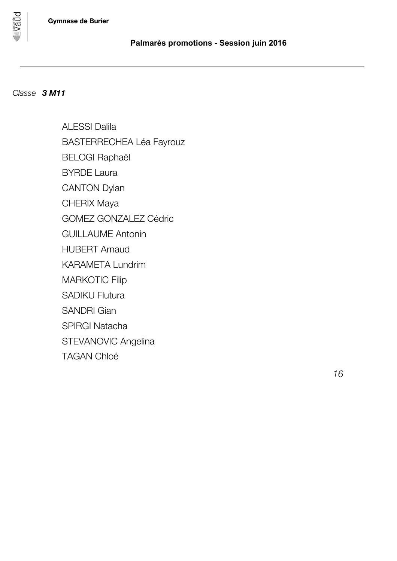



pnand

ALESSI Dalila BASTERRECHEA Léa Fayrouz BELOGI Raphaël BYRDE Laura CANTON Dylan CHERIX Maya GOMEZ GONZALEZ Cédric GUILLAUME Antonin HUBERT Arnaud KARAMETA Lundrim MARKOTIC Filip SADIKU Flutura SANDRI Gian SPIRGI Natacha STEVANOVIC Angelina TAGAN Chloé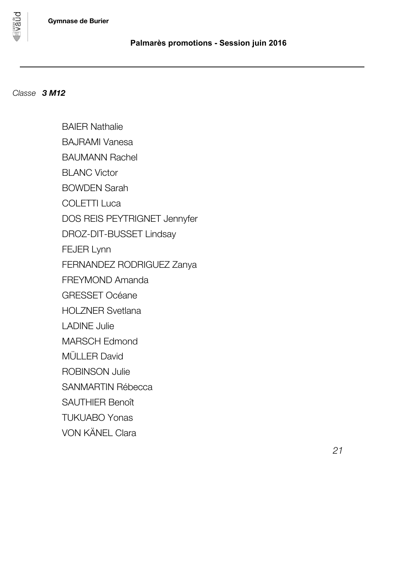

pnan

BAIER Nathalie BAJRAMI Vanesa BAUMANN Rachel BLANC Victor BOWDEN Sarah COLETTI Luca DOS REIS PEYTRIGNET Jennyfer DROZ-DIT-BUSSET Lindsay FEJER Lynn FERNANDEZ RODRIGUEZ Zanya FREYMOND Amanda GRESSET Océane HOLZNER Svetlana LADINE Julie MARSCH Edmond MÜLLER David ROBINSON Julie SANMARTIN Rébecca SAUTHIER Benoît TUKUABO Yonas VON KÄNEL Clara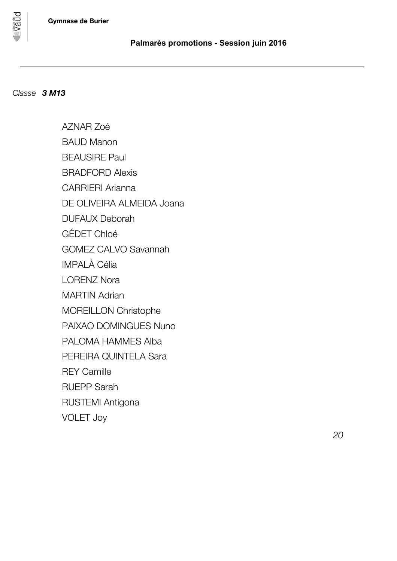

pnan

AZNAR Zoé BAUD Manon BEAUSIRE Paul BRADFORD Alexis CARRIERI Arianna DE OLIVEIRA ALMEIDA Joana DUFAUX Deborah GÉDET Chloé GOMEZ CALVO Savannah IMPALÀ Célia LORENZ Nora MARTIN Adrian MOREILLON Christophe PAIXAO DOMINGUES Nuno PALOMA HAMMES Alba PEREIRA QUINTELA Sara REY Camille RUEPP Sarah RUSTEMI Antigona VOLET Joy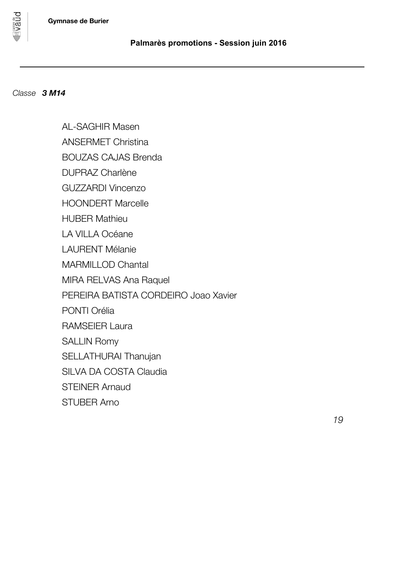

pnan

AL-SAGHIR Masen ANSERMET Christina BOUZAS CAJAS Brenda DUPRAZ Charlène GUZZARDI Vincenzo HOONDERT Marcelle HUBER Mathieu LA VILLA Océane LAURENT Mélanie MARMILLOD Chantal MIRA RELVAS Ana Raquel PEREIRA BATISTA CORDEIRO Joao Xavier PONTI Orélia RAMSEIER Laura SALLIN Romy SELLATHURAI Thanujan SILVA DA COSTA Claudia STEINER Arnaud STUBER Arno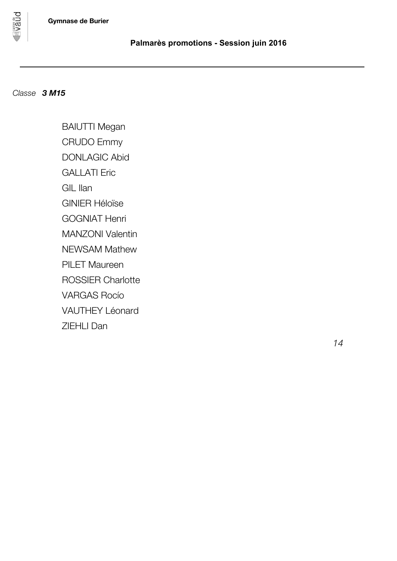

**PORAL** 

BAIUTTI Megan CRUDO Emmy DONLAGIC Abid GALLATI Eric GIL Ilan GINIER Héloïse GOGNIAT Henri MANZONI Valentin NEWSAM Mathew PILET Maureen ROSSIER Charlotte VARGAS Rocío VAUTHEY Léonard ZIEHLI Dan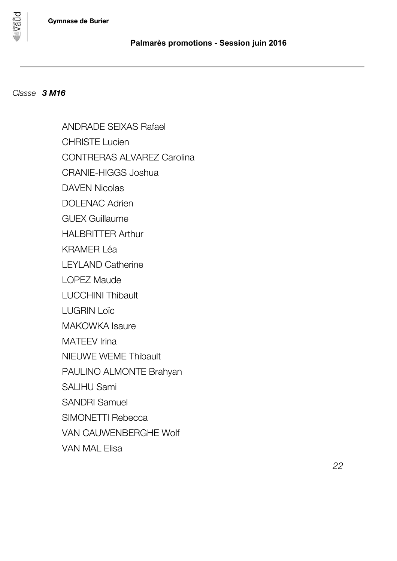

pnan

ANDRADE SEIXAS Rafael CHRISTE Lucien CONTRERAS ALVAREZ Carolina CRANIE-HIGGS Joshua DAVEN Nicolas DOLENAC Adrien GUEX Guillaume HALBRITTER Arthur KRAMER Léa LEYLAND Catherine LOPEZ Maude LUCCHINI Thibault LUGRIN Loïc MAKOWKA Isaure MATEEV Irina NIEUWE WEME Thibault PAULINO ALMONTE Brahyan SALIHU Sami SANDRI Samuel SIMONETTI Rebecca VAN CAUWENBERGHE Wolf VAN MAL Elisa